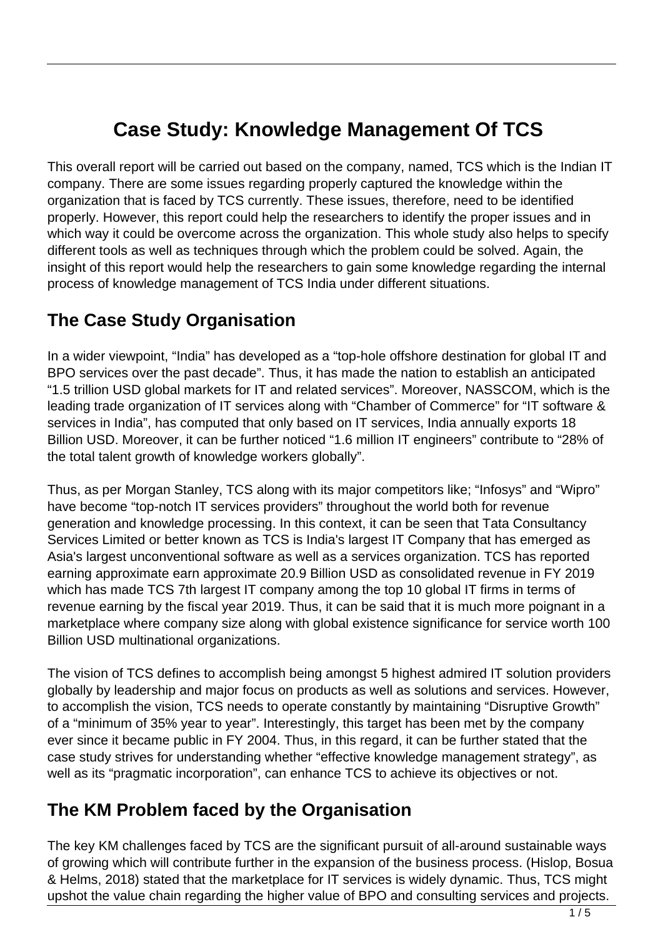# **Case Study: Knowledge Management Of TCS**

This overall report will be carried out based on the company, named, TCS which is the Indian IT company. There are some issues regarding properly captured the knowledge within the organization that is faced by TCS currently. These issues, therefore, need to be identified properly. However, this report could help the researchers to identify the proper issues and in which way it could be overcome across the organization. This whole study also helps to specify different tools as well as techniques through which the problem could be solved. Again, the insight of this report would help the researchers to gain some knowledge regarding the internal process of knowledge management of TCS India under different situations.

#### **The Case Study Organisation**

In a wider viewpoint, "India" has developed as a "top-hole offshore destination for global IT and BPO services over the past decade". Thus, it has made the nation to establish an anticipated "1.5 trillion USD global markets for IT and related services". Moreover, NASSCOM, which is the leading trade organization of IT services along with "Chamber of Commerce" for "IT software & services in India", has computed that only based on IT services, India annually exports 18 Billion USD. Moreover, it can be further noticed "1.6 million IT engineers" contribute to "28% of the total talent growth of knowledge workers globally".

Thus, as per Morgan Stanley, TCS along with its major competitors like; "Infosys" and "Wipro" have become "top-notch IT services providers" throughout the world both for revenue generation and knowledge processing. In this context, it can be seen that Tata Consultancy Services Limited or better known as TCS is India's largest IT Company that has emerged as Asia's largest unconventional software as well as a services organization. TCS has reported earning approximate earn approximate 20.9 Billion USD as consolidated revenue in FY 2019 which has made TCS 7th largest IT company among the top 10 global IT firms in terms of revenue earning by the fiscal year 2019. Thus, it can be said that it is much more poignant in a marketplace where company size along with global existence significance for service worth 100 Billion USD multinational organizations.

The vision of TCS defines to accomplish being amongst 5 highest admired IT solution providers globally by leadership and major focus on products as well as solutions and services. However, to accomplish the vision, TCS needs to operate constantly by maintaining "Disruptive Growth" of a "minimum of 35% year to year". Interestingly, this target has been met by the company ever since it became public in FY 2004. Thus, in this regard, it can be further stated that the case study strives for understanding whether "effective knowledge management strategy", as well as its "pragmatic incorporation", can enhance TCS to achieve its objectives or not.

#### **The KM Problem faced by the Organisation**

The key KM challenges faced by TCS are the significant pursuit of all-around sustainable ways of growing which will contribute further in the expansion of the business process. (Hislop, Bosua & Helms, 2018) stated that the marketplace for IT services is widely dynamic. Thus, TCS might upshot the value chain regarding the higher value of BPO and consulting services and projects.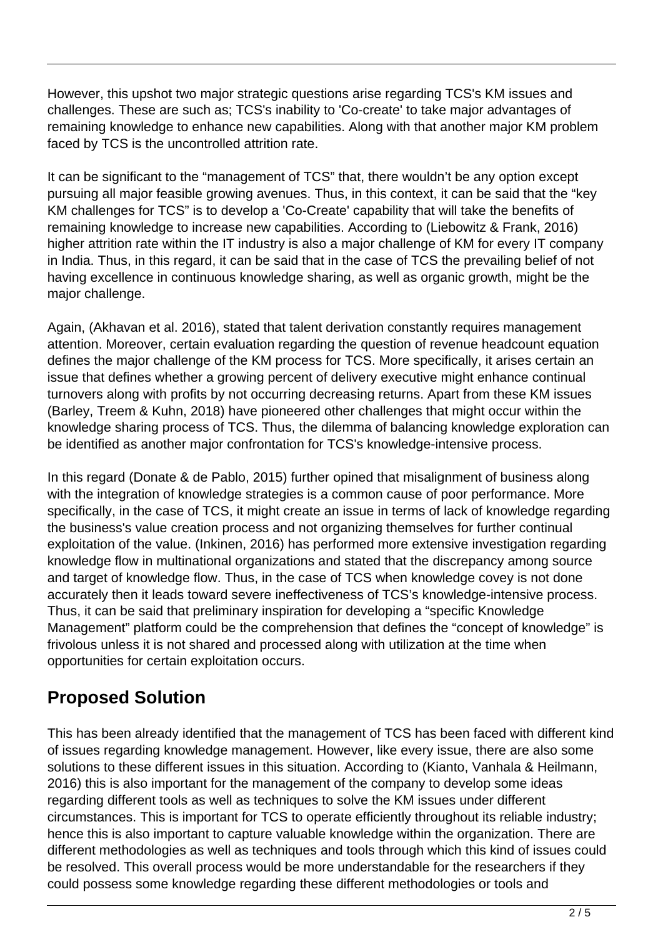However, this upshot two major strategic questions arise regarding TCS's KM issues and challenges. These are such as; TCS's inability to 'Co-create' to take major advantages of remaining knowledge to enhance new capabilities. Along with that another major KM problem faced by TCS is the uncontrolled attrition rate.

It can be significant to the "management of TCS" that, there wouldn't be any option except pursuing all major feasible growing avenues. Thus, in this context, it can be said that the "key KM challenges for TCS" is to develop a 'Co-Create' capability that will take the benefits of remaining knowledge to increase new capabilities. According to (Liebowitz & Frank, 2016) higher attrition rate within the IT industry is also a major challenge of KM for every IT company in India. Thus, in this regard, it can be said that in the case of TCS the prevailing belief of not having excellence in continuous knowledge sharing, as well as organic growth, might be the major challenge.

Again, (Akhavan et al. 2016), stated that talent derivation constantly requires management attention. Moreover, certain evaluation regarding the question of revenue headcount equation defines the major challenge of the KM process for TCS. More specifically, it arises certain an issue that defines whether a growing percent of delivery executive might enhance continual turnovers along with profits by not occurring decreasing returns. Apart from these KM issues (Barley, Treem & Kuhn, 2018) have pioneered other challenges that might occur within the knowledge sharing process of TCS. Thus, the dilemma of balancing knowledge exploration can be identified as another major confrontation for TCS's knowledge-intensive process.

In this regard (Donate & de Pablo, 2015) further opined that misalignment of business along with the integration of knowledge strategies is a common cause of poor performance. More specifically, in the case of TCS, it might create an issue in terms of lack of knowledge regarding the business's value creation process and not organizing themselves for further continual exploitation of the value. (Inkinen, 2016) has performed more extensive investigation regarding knowledge flow in multinational organizations and stated that the discrepancy among source and target of knowledge flow. Thus, in the case of TCS when knowledge covey is not done accurately then it leads toward severe ineffectiveness of TCS's knowledge-intensive process. Thus, it can be said that preliminary inspiration for developing a "specific Knowledge Management" platform could be the comprehension that defines the "concept of knowledge" is frivolous unless it is not shared and processed along with utilization at the time when opportunities for certain exploitation occurs.

## **Proposed Solution**

This has been already identified that the management of TCS has been faced with different kind of issues regarding knowledge management. However, like every issue, there are also some solutions to these different issues in this situation. According to (Kianto, Vanhala & Heilmann, 2016) this is also important for the management of the company to develop some ideas regarding different tools as well as techniques to solve the KM issues under different circumstances. This is important for TCS to operate efficiently throughout its reliable industry; hence this is also important to capture valuable knowledge within the organization. There are different methodologies as well as techniques and tools through which this kind of issues could be resolved. This overall process would be more understandable for the researchers if they could possess some knowledge regarding these different methodologies or tools and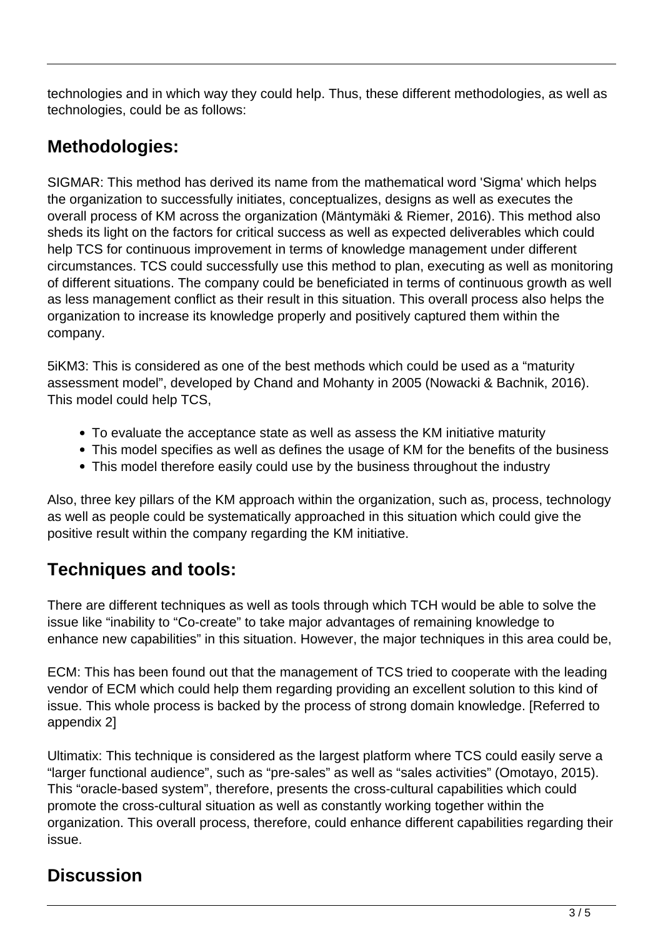technologies and in which way they could help. Thus, these different methodologies, as well as technologies, could be as follows:

## **Methodologies:**

SIGMAR: This method has derived its name from the mathematical word 'Sigma' which helps the organization to successfully initiates, conceptualizes, designs as well as executes the overall process of KM across the organization (Mäntymäki & Riemer, 2016). This method also sheds its light on the factors for critical success as well as expected deliverables which could help TCS for continuous improvement in terms of knowledge management under different circumstances. TCS could successfully use this method to plan, executing as well as monitoring of different situations. The company could be beneficiated in terms of continuous growth as well as less management conflict as their result in this situation. This overall process also helps the organization to increase its knowledge properly and positively captured them within the company.

5iKM3: This is considered as one of the best methods which could be used as a "maturity assessment model", developed by Chand and Mohanty in 2005 (Nowacki & Bachnik, 2016). This model could help TCS,

- To evaluate the acceptance state as well as assess the KM initiative maturity
- This model specifies as well as defines the usage of KM for the benefits of the business
- This model therefore easily could use by the business throughout the industry

Also, three key pillars of the KM approach within the organization, such as, process, technology as well as people could be systematically approached in this situation which could give the positive result within the company regarding the KM initiative.

#### **Techniques and tools:**

There are different techniques as well as tools through which TCH would be able to solve the issue like "inability to "Co-create" to take major advantages of remaining knowledge to enhance new capabilities" in this situation. However, the major techniques in this area could be,

ECM: This has been found out that the management of TCS tried to cooperate with the leading vendor of ECM which could help them regarding providing an excellent solution to this kind of issue. This whole process is backed by the process of strong domain knowledge. [Referred to appendix 2]

Ultimatix: This technique is considered as the largest platform where TCS could easily serve a "larger functional audience", such as "pre-sales" as well as "sales activities" (Omotayo, 2015). This "oracle-based system", therefore, presents the cross-cultural capabilities which could promote the cross-cultural situation as well as constantly working together within the organization. This overall process, therefore, could enhance different capabilities regarding their issue.

## **Discussion**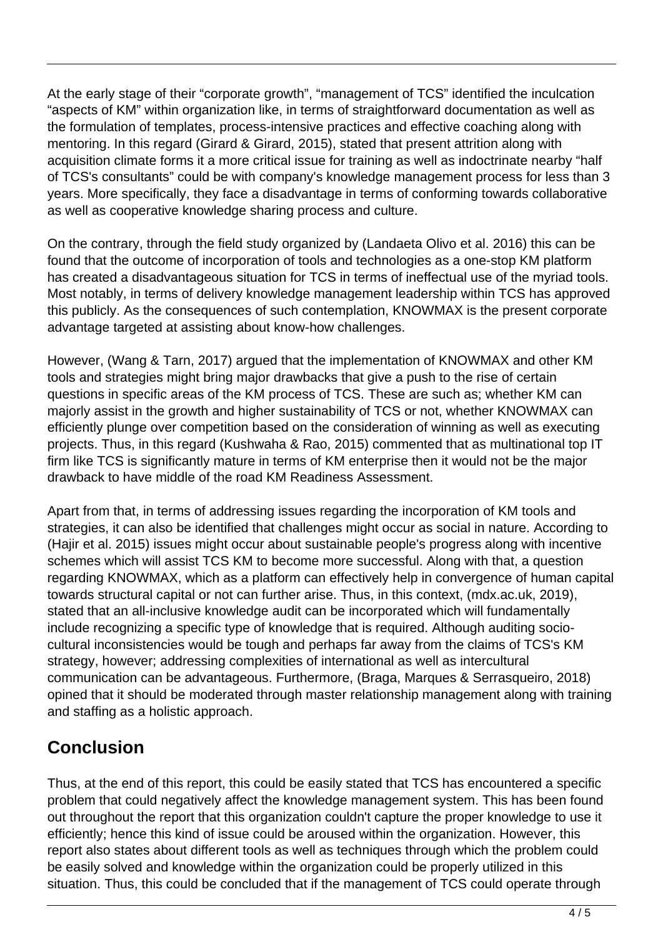At the early stage of their "corporate growth", "management of TCS" identified the inculcation "aspects of KM" within organization like, in terms of straightforward documentation as well as the formulation of templates, process-intensive practices and effective coaching along with mentoring. In this regard (Girard & Girard, 2015), stated that present attrition along with acquisition climate forms it a more critical issue for training as well as indoctrinate nearby "half of TCS's consultants" could be with company's knowledge management process for less than 3 years. More specifically, they face a disadvantage in terms of conforming towards collaborative as well as cooperative knowledge sharing process and culture.

On the contrary, through the field study organized by (Landaeta Olivo et al. 2016) this can be found that the outcome of incorporation of tools and technologies as a one-stop KM platform has created a disadvantageous situation for TCS in terms of ineffectual use of the myriad tools. Most notably, in terms of delivery knowledge management leadership within TCS has approved this publicly. As the consequences of such contemplation, KNOWMAX is the present corporate advantage targeted at assisting about know-how challenges.

However, (Wang & Tarn, 2017) argued that the implementation of KNOWMAX and other KM tools and strategies might bring major drawbacks that give a push to the rise of certain questions in specific areas of the KM process of TCS. These are such as; whether KM can majorly assist in the growth and higher sustainability of TCS or not, whether KNOWMAX can efficiently plunge over competition based on the consideration of winning as well as executing projects. Thus, in this regard (Kushwaha & Rao, 2015) commented that as multinational top IT firm like TCS is significantly mature in terms of KM enterprise then it would not be the major drawback to have middle of the road KM Readiness Assessment.

Apart from that, in terms of addressing issues regarding the incorporation of KM tools and strategies, it can also be identified that challenges might occur as social in nature. According to (Hajir et al. 2015) issues might occur about sustainable people's progress along with incentive schemes which will assist TCS KM to become more successful. Along with that, a question regarding KNOWMAX, which as a platform can effectively help in convergence of human capital towards structural capital or not can further arise. Thus, in this context, (mdx.ac.uk, 2019), stated that an all-inclusive knowledge audit can be incorporated which will fundamentally include recognizing a specific type of knowledge that is required. Although auditing sociocultural inconsistencies would be tough and perhaps far away from the claims of TCS's KM strategy, however; addressing complexities of international as well as intercultural communication can be advantageous. Furthermore, (Braga, Marques & Serrasqueiro, 2018) opined that it should be moderated through master relationship management along with training and staffing as a holistic approach.

## **Conclusion**

Thus, at the end of this report, this could be easily stated that TCS has encountered a specific problem that could negatively affect the knowledge management system. This has been found out throughout the report that this organization couldn't capture the proper knowledge to use it efficiently; hence this kind of issue could be aroused within the organization. However, this report also states about different tools as well as techniques through which the problem could be easily solved and knowledge within the organization could be properly utilized in this situation. Thus, this could be concluded that if the management of TCS could operate through